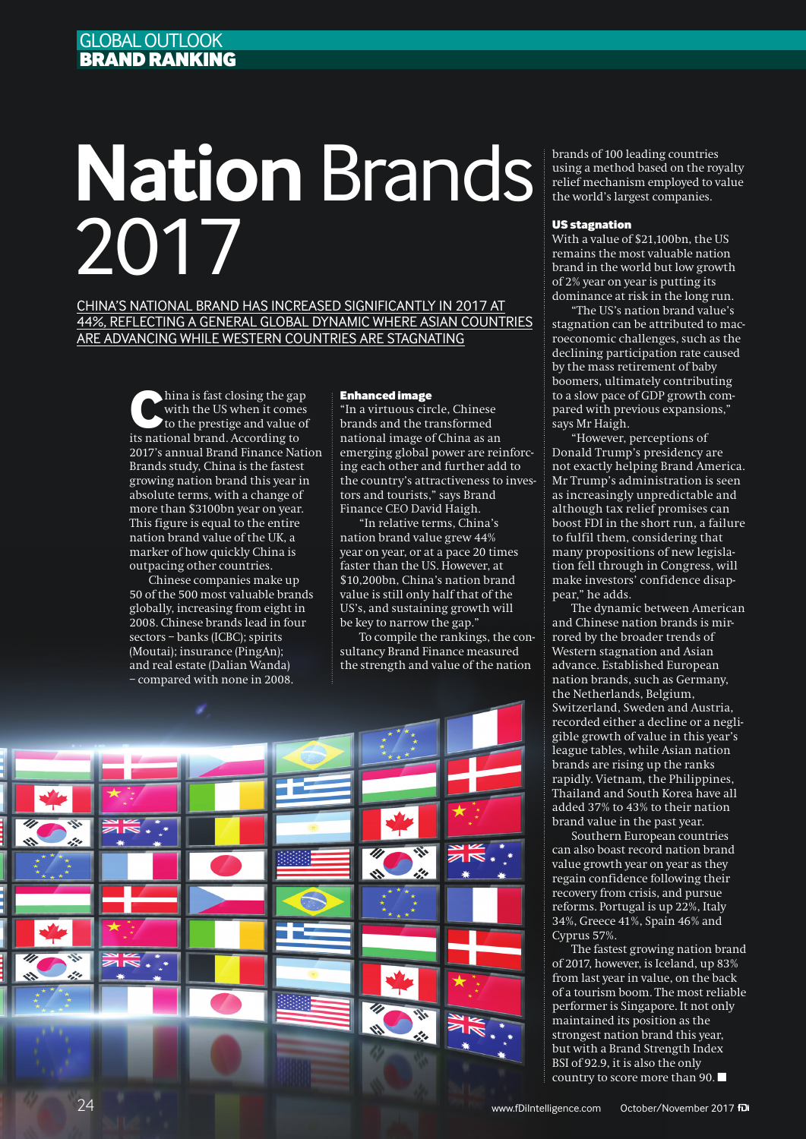# **Nation** Brands 2017

CHINA'S NATIONAL BRAND HAS INCREASED SIGNIFICANTLY IN 2017 AT 44%, REFLECTING A GENERAL GLOBAL DYNAMIC WHERE ASIAN COUNTRIES ARE ADVANCING WHILE WESTERN COUNTRIES ARE STAGNATING

> hina is fast closing the gap<br>
> with the US when it comes<br>
> to the prestige and value of<br>
> its national hyped According to with the US when it comes its national brand. According to 2017's annual Brand Finance Nation Brands study, China is the fastest growing nation brand this year in absolute terms, with a change of more than \$3100bn year on year. This figure is equal to the entire nation brand value of the UK, a marker of how quickly China is outpacing other countries.

Chinese companies make up 50 of the 500 most valuable brands globally, increasing from eight in 2008. Chinese brands lead in four sectors – banks (ICBC); spirits (Moutai); insurance (PingAn); and real estate (Dalian Wanda) – compared with none in 2008.

### Enhanced image

"In a virtuous circle, Chinese brands and the transformed national image of China as an emerging global power are reinforcing each other and further add to the country's attractiveness to investors and tourists," says Brand Finance CEO David Haigh.

"In relative terms, China's nation brand value grew 44% year on year, or at a pace 20 times faster than the US. However, at \$10,200bn, China's nation brand value is still only half that of the US's, and sustaining growth will be key to narrow the gap."

To compile the rankings, the consultancy Brand Finance measured the strength and value of the nation



brands of 100 leading countries using a method based on the royalty relief mechanism employed to value the world's largest companies.

#### US stagnation

With a value of \$21,100bn, the US remains the most valuable nation brand in the world but low growth of 2% year on year is putting its dominance at risk in the long run.

"The US's nation brand value's stagnation can be attributed to macroeconomic challenges, such as the declining participation rate caused by the mass retirement of baby boomers, ultimately contributing to a slow pace of GDP growth compared with previous expansions," says Mr Haigh.

"However, perceptions of Donald Trump's presidency are not exactly helping Brand America. Mr Trump's administration is seen as increasingly unpredictable and although tax relief promises can boost FDI in the short run, a failure to fulfil them, considering that many propositions of new legislation fell through in Congress, will make investors' confidence disappear," he adds.

The dynamic between American and Chinese nation brands is mirrored by the broader trends of Western stagnation and Asian advance. Established European nation brands, such as Germany, the Netherlands, Belgium, Switzerland, Sweden and Austria, recorded either a decline or a negligible growth of value in this year's league tables, while Asian nation brands are rising up the ranks rapidly. Vietnam, the Philippines, Thailand and South Korea have all added 37% to 43% to their nation brand value in the past year.

Southern European countries can also boast record nation brand value growth year on year as they regain confidence following their recovery from crisis, and pursue reforms. Portugal is up 22%, Italy 34%, Greece 41%, Spain 46% and Cyprus 57%.

The fastest growing nation brand of 2017, however, is Iceland, up 83% from last year in value, on the back of a tourism boom. The most reliable performer is Singapore. It not only maintained its position as the strongest nation brand this year, but with a Brand Strength Index BSI of 92.9, it is also the only country to score more than 90.